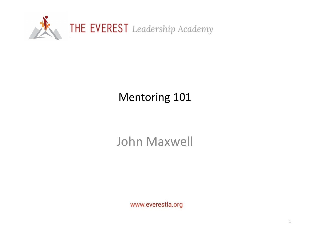

# Mentoring 101

# John Maxwell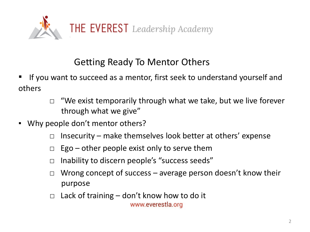

# Getting Ready To Mentor Others

- If you want to succeed as a mentor, first seek to understand yourself and others
	- $\Box$  "We exist temporarily through what we take, but we live forever through what we give"
- Why people don't mentor others?
	- $\Box$  Insecurity make themselves look better at others' expense
	- $\Box$  Ego other people exist only to serve them
	- $\Box$  Inability to discern people's "success seeds"
	- $\Box$  Wrong concept of success average person doesn't know their purpose
	- $\Box$  Lack of training don't know how to do it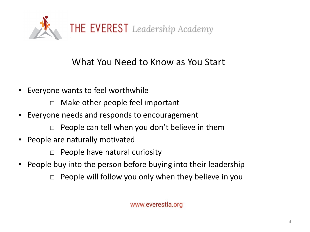

#### What You Need to Know as You Start

- Everyone wants to feel worthwhile
	- $\Box$  Make other people feel important
- Everyone needs and responds to encouragement
	- $\Box$  People can tell when you don't believe in them
- People are naturally motivated

 $\Box$  People have natural curiosity

- People buy into the person before buying into their leadership
	- $\Box$  People will follow you only when they believe in you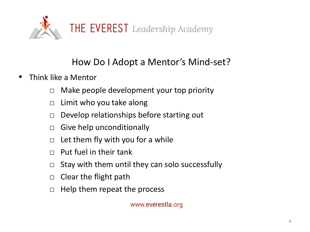

# How Do I Adopt a Mentor's Mind-set?

- Think like a Mentor
	- $\Box$  Make people development your top priority
	- $\Box$  Limit who you take along
	- $\Box$  Develop relationships before starting out
	- $\Box$  Give help unconditionally
	- $\Box$  Let them fly with you for a while
	- $\Box$  Put fuel in their tank
	- $\Box$  Stay with them until they can solo successfully
	- $\Box$  Clear the flight path
	- $\Box$  Help them repeat the process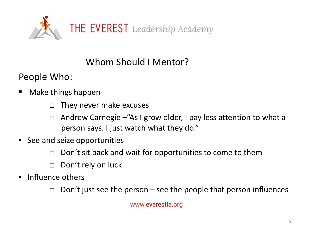

# Whom Should I Mentor?

People Who:

- Make things happen
	- $\Box$  They never make excuses
	- □ Andrew Carnegie –"As I grow older, I pay less attention to what a person says. I just watch what they do."
- See and seize opportunities
	- $\Box$  Don't sit back and wait for opportunities to come to them
	- □ Don't rely on luck
- Influence others
	- $\Box$  Don't just see the person see the people that person influences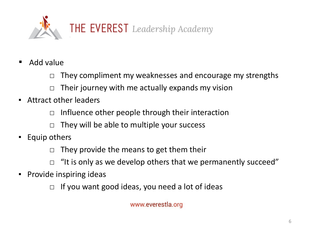

- Add value
	- $\Box$  They compliment my weaknesses and encourage my strengths
	- $\Box$  Their journey with me actually expands my vision
- **E** Attract other leaders
	- $\Box$  Influence other people through their interaction
	- $\Box$  They will be able to multiple your success
- Equip others
	- $\Box$  They provide the means to get them their
	- $\Box$  "It is only as we develop others that we permanently succeed"
- Provide inspiring ideas
	- $\Box$  If you want good ideas, you need a lot of ideas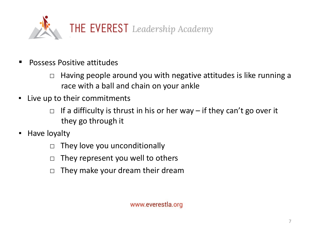

- Possess Positive attitudes
	- $\Box$  Having people around you with negative attitudes is like running a race with a ball and chain on your ankle
- Live up to their commitments
	- $\Box$  If a difficulty is thrust in his or her way if they can't go over it they go through it
- Have loyalty
	- $\Box$  They love you unconditionally
	- $\Box$  They represent you well to others
	- $\Box$  They make your dream their dream